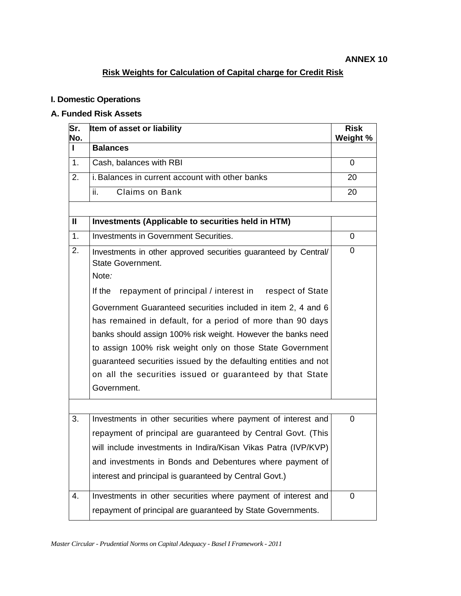# **Risk Weights for Calculation of Capital charge for Credit Risk**

## **I. Domestic Operations**

### **A. Funded Risk Assets**

| Sr.<br>No. | Item of asset or liability                                                                                                   | <b>Risk</b><br>Weight % |
|------------|------------------------------------------------------------------------------------------------------------------------------|-------------------------|
| T          | <b>Balances</b>                                                                                                              |                         |
| 1.         | Cash, balances with RBI                                                                                                      |                         |
| 2.         | i. Balances in current account with other banks                                                                              | 20                      |
|            | ii.<br><b>Claims on Bank</b>                                                                                                 | 20                      |
|            |                                                                                                                              |                         |
| Ш          | Investments (Applicable to securities held in HTM)                                                                           |                         |
| 1.         | Investments in Government Securities.                                                                                        | 0                       |
| 2.         | Investments in other approved securities guaranteed by Central/<br>State Government.<br>Note:                                | 0                       |
|            | If the<br>repayment of principal / interest in respect of State                                                              |                         |
|            | Government Guaranteed securities included in item 2, 4 and 6                                                                 |                         |
|            | has remained in default, for a period of more than 90 days                                                                   |                         |
|            | banks should assign 100% risk weight. However the banks need                                                                 |                         |
|            | to assign 100% risk weight only on those State Government<br>guaranteed securities issued by the defaulting entities and not |                         |
|            | on all the securities issued or guaranteed by that State                                                                     |                         |
|            | Government.                                                                                                                  |                         |
|            |                                                                                                                              |                         |
| 3.         | Investments in other securities where payment of interest and                                                                | 0                       |
|            | repayment of principal are guaranteed by Central Govt. (This                                                                 |                         |
|            | will include investments in Indira/Kisan Vikas Patra (IVP/KVP)                                                               |                         |
|            | and investments in Bonds and Debentures where payment of                                                                     |                         |
|            | interest and principal is guaranteed by Central Govt.)                                                                       |                         |
| 4.         | Investments in other securities where payment of interest and                                                                | $\Omega$                |
|            | repayment of principal are guaranteed by State Governments.                                                                  |                         |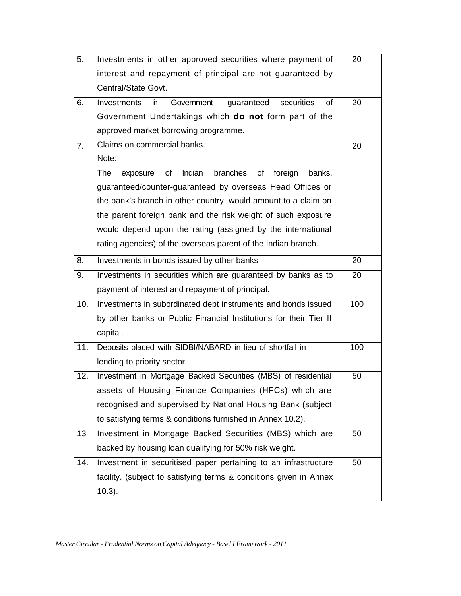| 5.  | Investments in other approved securities where payment of              | 20  |
|-----|------------------------------------------------------------------------|-----|
|     | interest and repayment of principal are not guaranteed by              |     |
|     | Central/State Govt.                                                    |     |
| 6.  | Government<br>Investments<br>guaranteed<br>securities<br>0f<br>'n.     | 20  |
|     | Government Undertakings which do not form part of the                  |     |
|     | approved market borrowing programme.                                   |     |
| 7.  | Claims on commercial banks.                                            | 20  |
|     | Note:                                                                  |     |
|     | The<br>Indian<br>branches<br>exposure<br>οf<br>of<br>foreign<br>banks, |     |
|     | guaranteed/counter-guaranteed by overseas Head Offices or              |     |
|     | the bank's branch in other country, would amount to a claim on         |     |
|     | the parent foreign bank and the risk weight of such exposure           |     |
|     | would depend upon the rating (assigned by the international            |     |
|     | rating agencies) of the overseas parent of the Indian branch.          |     |
| 8.  | Investments in bonds issued by other banks                             | 20  |
| 9.  | Investments in securities which are guaranteed by banks as to          | 20  |
|     | payment of interest and repayment of principal.                        |     |
| 10. | Investments in subordinated debt instruments and bonds issued          | 100 |
|     | by other banks or Public Financial Institutions for their Tier II      |     |
|     | capital.                                                               |     |
| 11. | Deposits placed with SIDBI/NABARD in lieu of shortfall in              | 100 |
|     | lending to priority sector.                                            |     |
| 12. | Investment in Mortgage Backed Securities (MBS) of residential          | 50  |
|     | assets of Housing Finance Companies (HFCs) which are                   |     |
|     | recognised and supervised by National Housing Bank (subject            |     |
|     | to satisfying terms & conditions furnished in Annex 10.2).             |     |
| 13  | Investment in Mortgage Backed Securities (MBS) which are               | 50  |
|     | backed by housing loan qualifying for 50% risk weight.                 |     |
| 14. | Investment in securitised paper pertaining to an infrastructure        | 50  |
|     | facility. (subject to satisfying terms & conditions given in Annex     |     |
|     | $10.3$ ).                                                              |     |
|     |                                                                        |     |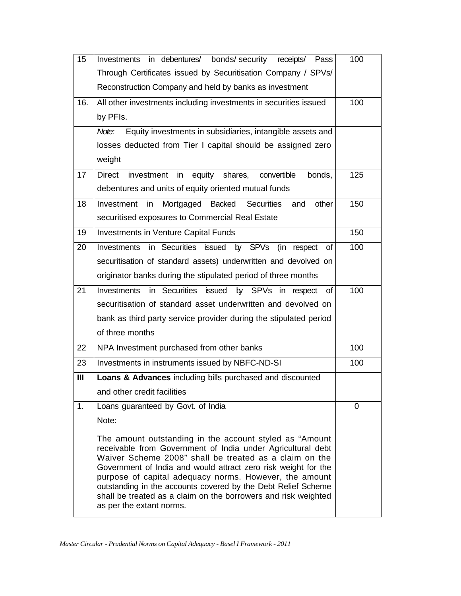| 15  | Investments in debentures/ bonds/security receipts/<br>Pass                                                                                                                                                                                                                                                                                                                                                                                                                  | 100 |  |  |  |
|-----|------------------------------------------------------------------------------------------------------------------------------------------------------------------------------------------------------------------------------------------------------------------------------------------------------------------------------------------------------------------------------------------------------------------------------------------------------------------------------|-----|--|--|--|
|     | Through Certificates issued by Securitisation Company / SPVs/                                                                                                                                                                                                                                                                                                                                                                                                                |     |  |  |  |
|     | Reconstruction Company and held by banks as investment                                                                                                                                                                                                                                                                                                                                                                                                                       |     |  |  |  |
| 16. | All other investments including investments in securities issued                                                                                                                                                                                                                                                                                                                                                                                                             |     |  |  |  |
|     | by PFIs.                                                                                                                                                                                                                                                                                                                                                                                                                                                                     |     |  |  |  |
|     | Equity investments in subsidiaries, intangible assets and<br>Note:                                                                                                                                                                                                                                                                                                                                                                                                           |     |  |  |  |
|     | losses deducted from Tier I capital should be assigned zero                                                                                                                                                                                                                                                                                                                                                                                                                  |     |  |  |  |
|     | weight                                                                                                                                                                                                                                                                                                                                                                                                                                                                       |     |  |  |  |
| 17  | Direct investment in equity shares,<br>convertible<br>bonds,                                                                                                                                                                                                                                                                                                                                                                                                                 | 125 |  |  |  |
|     | debentures and units of equity oriented mutual funds                                                                                                                                                                                                                                                                                                                                                                                                                         |     |  |  |  |
| 18  | Investment in Mortgaged Backed Securities<br>other<br>and                                                                                                                                                                                                                                                                                                                                                                                                                    | 150 |  |  |  |
|     | securitised exposures to Commercial Real Estate                                                                                                                                                                                                                                                                                                                                                                                                                              |     |  |  |  |
| 19  | <b>Investments in Venture Capital Funds</b>                                                                                                                                                                                                                                                                                                                                                                                                                                  | 150 |  |  |  |
| 20  | in Securities issued by SPVs (in respect<br>Investments<br>οf                                                                                                                                                                                                                                                                                                                                                                                                                |     |  |  |  |
|     | securitisation of standard assets) underwritten and devolved on<br>originator banks during the stipulated period of three months                                                                                                                                                                                                                                                                                                                                             |     |  |  |  |
|     |                                                                                                                                                                                                                                                                                                                                                                                                                                                                              |     |  |  |  |
| 21  | in Securities issued<br>by SPVs in respect<br>Investments<br>of                                                                                                                                                                                                                                                                                                                                                                                                              | 100 |  |  |  |
|     | securitisation of standard asset underwritten and devolved on                                                                                                                                                                                                                                                                                                                                                                                                                |     |  |  |  |
|     | bank as third party service provider during the stipulated period                                                                                                                                                                                                                                                                                                                                                                                                            |     |  |  |  |
|     | of three months                                                                                                                                                                                                                                                                                                                                                                                                                                                              |     |  |  |  |
| 22  | NPA Investment purchased from other banks                                                                                                                                                                                                                                                                                                                                                                                                                                    | 100 |  |  |  |
| 23  | Investments in instruments issued by NBFC-ND-SI                                                                                                                                                                                                                                                                                                                                                                                                                              | 100 |  |  |  |
| Ш   | Loans & Advances including bills purchased and discounted                                                                                                                                                                                                                                                                                                                                                                                                                    |     |  |  |  |
|     | and other credit facilities                                                                                                                                                                                                                                                                                                                                                                                                                                                  |     |  |  |  |
| 1.  | Loans guaranteed by Govt. of India                                                                                                                                                                                                                                                                                                                                                                                                                                           | 0   |  |  |  |
|     | Note:                                                                                                                                                                                                                                                                                                                                                                                                                                                                        |     |  |  |  |
|     | The amount outstanding in the account styled as "Amount"<br>receivable from Government of India under Agricultural debt<br>Waiver Scheme 2008" shall be treated as a claim on the<br>Government of India and would attract zero risk weight for the<br>purpose of capital adequacy norms. However, the amount<br>outstanding in the accounts covered by the Debt Relief Scheme<br>shall be treated as a claim on the borrowers and risk weighted<br>as per the extant norms. |     |  |  |  |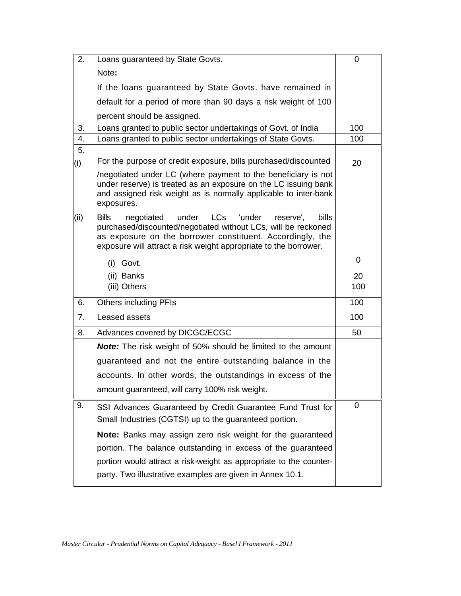| 2.   | Loans guaranteed by State Govts.                                                                                                                                                                                                                                             | 0   |
|------|------------------------------------------------------------------------------------------------------------------------------------------------------------------------------------------------------------------------------------------------------------------------------|-----|
|      | Note:                                                                                                                                                                                                                                                                        |     |
|      | If the loans guaranteed by State Govts. have remained in                                                                                                                                                                                                                     |     |
|      | default for a period of more than 90 days a risk weight of 100                                                                                                                                                                                                               |     |
|      | percent should be assigned.                                                                                                                                                                                                                                                  |     |
| 3.   | Loans granted to public sector undertakings of Govt. of India                                                                                                                                                                                                                | 100 |
| 4.   | Loans granted to public sector undertakings of State Govts.                                                                                                                                                                                                                  | 100 |
| 5.   |                                                                                                                                                                                                                                                                              |     |
| (i)  | For the purpose of credit exposure, bills purchased/discounted                                                                                                                                                                                                               | 20  |
|      | Inegotiated under LC (where payment to the beneficiary is not<br>under reserve) is treated as an exposure on the LC issuing bank<br>and assigned risk weight as is normally applicable to inter-bank<br>exposures.                                                           |     |
| (ii) | <b>Bills</b><br>LCs<br>'under<br>under<br>bills<br>negotiated<br>reserve',<br>purchased/discounted/negotiated without LCs, will be reckoned<br>as exposure on the borrower constituent. Accordingly, the<br>exposure will attract a risk weight appropriate to the borrower. |     |
|      | (i) Govt.                                                                                                                                                                                                                                                                    | 0   |
|      | (ii) Banks                                                                                                                                                                                                                                                                   | 20  |
|      | (iii) Others                                                                                                                                                                                                                                                                 | 100 |
| 6.   |                                                                                                                                                                                                                                                                              | 100 |
|      | <b>Others including PFIs</b>                                                                                                                                                                                                                                                 |     |
| 7.   | Leased assets                                                                                                                                                                                                                                                                | 100 |
| 8.   | Advances covered by DICGC/ECGC                                                                                                                                                                                                                                               | 50  |
|      | <b>Note:</b> The risk weight of 50% should be limited to the amount                                                                                                                                                                                                          |     |
|      |                                                                                                                                                                                                                                                                              |     |
|      | guaranteed and not the entire outstanding balance in the                                                                                                                                                                                                                     |     |
|      | accounts. In other words, the outstandings in excess of the                                                                                                                                                                                                                  |     |
|      | amount guaranteed, will carry 100% risk weight.                                                                                                                                                                                                                              |     |
| 9.   | SSI Advances Guaranteed by Credit Guarantee Fund Trust for<br>Small Industries (CGTSI) up to the guaranteed portion.                                                                                                                                                         | 0   |
|      | Note: Banks may assign zero risk weight for the guaranteed                                                                                                                                                                                                                   |     |
|      | portion. The balance outstanding in excess of the guaranteed                                                                                                                                                                                                                 |     |
|      | portion would attract a risk-weight as appropriate to the counter-                                                                                                                                                                                                           |     |
|      | party. Two illustrative examples are given in Annex 10.1.                                                                                                                                                                                                                    |     |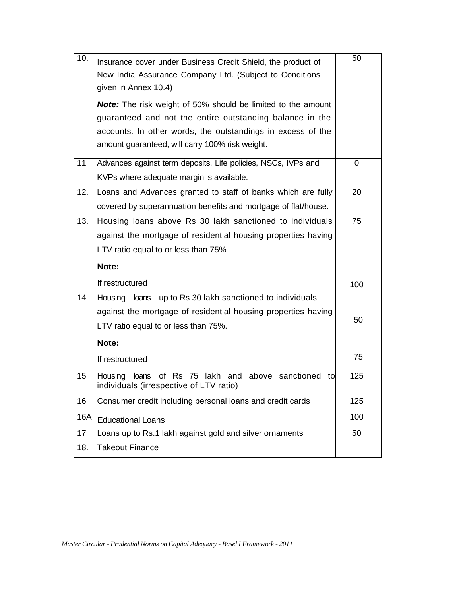| 10. | Insurance cover under Business Credit Shield, the product of<br>New India Assurance Company Ltd. (Subject to Conditions<br>given in Annex 10.4)                                                | 50             |
|-----|------------------------------------------------------------------------------------------------------------------------------------------------------------------------------------------------|----------------|
|     | <b>Note:</b> The risk weight of 50% should be limited to the amount<br>guaranteed and not the entire outstanding balance in the<br>accounts. In other words, the outstandings in excess of the |                |
|     | amount guaranteed, will carry 100% risk weight.                                                                                                                                                |                |
| 11  | Advances against term deposits, Life policies, NSCs, IVPs and<br>KVPs where adequate margin is available.                                                                                      | $\overline{0}$ |
| 12. | Loans and Advances granted to staff of banks which are fully<br>covered by superannuation benefits and mortgage of flat/house.                                                                 | 20             |
| 13. | Housing loans above Rs 30 lakh sanctioned to individuals                                                                                                                                       | 75             |
|     | against the mortgage of residential housing properties having                                                                                                                                  |                |
|     | LTV ratio equal to or less than 75%                                                                                                                                                            |                |
|     | Note:                                                                                                                                                                                          |                |
|     | If restructured                                                                                                                                                                                | 100            |
| 14  | loans up to Rs 30 lakh sanctioned to individuals<br>Housing                                                                                                                                    |                |
|     | against the mortgage of residential housing properties having<br>LTV ratio equal to or less than 75%.                                                                                          | 50             |
|     | Note:                                                                                                                                                                                          |                |
|     | If restructured                                                                                                                                                                                | 75             |
| 15  | of<br><b>Rs</b><br>75<br>lakh<br>and above sanctioned to<br>Housing<br>loans<br>individuals (irrespective of LTV ratio)                                                                        | 125            |
| 16  | Consumer credit including personal loans and credit cards                                                                                                                                      | 125            |
| 16A | <b>Educational Loans</b>                                                                                                                                                                       | 100            |
| 17  | Loans up to Rs.1 lakh against gold and silver ornaments                                                                                                                                        | 50             |
| 18. | <b>Takeout Finance</b>                                                                                                                                                                         |                |
|     |                                                                                                                                                                                                |                |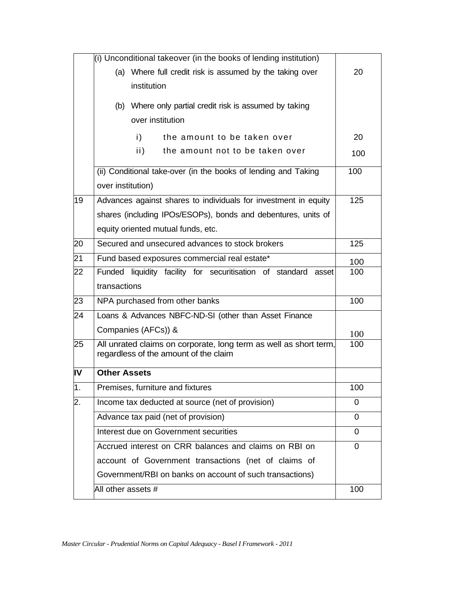|               | (i) Unconditional takeover (in the books of lending institution)                                           |          |
|---------------|------------------------------------------------------------------------------------------------------------|----------|
|               | Where full credit risk is assumed by the taking over<br>(a)                                                | 20       |
|               | institution                                                                                                |          |
|               | (b) Where only partial credit risk is assumed by taking                                                    |          |
|               | over institution                                                                                           |          |
|               | i)<br>the amount to be taken over                                                                          | 20       |
|               | ii)<br>the amount not to be taken over                                                                     | 100      |
|               | (ii) Conditional take-over (in the books of lending and Taking                                             | 100      |
|               | over institution)                                                                                          |          |
| 19            | Advances against shares to individuals for investment in equity                                            | 125      |
|               | shares (including IPOs/ESOPs), bonds and debentures, units of                                              |          |
|               | equity oriented mutual funds, etc.                                                                         |          |
| 20            | Secured and unsecured advances to stock brokers                                                            | 125      |
| 21            | Fund based exposures commercial real estate*                                                               | 100      |
| 22            | Funded liquidity facility for securitisation of standard asset                                             | 100      |
|               | transactions                                                                                               |          |
| 23            | NPA purchased from other banks                                                                             | 100      |
| 24            | Loans & Advances NBFC-ND-SI (other than Asset Finance                                                      |          |
|               | Companies (AFCs)) &                                                                                        | 100      |
| 25            | All unrated claims on corporate, long term as well as short term,<br>regardless of the amount of the claim | 100      |
| ΙV            | <b>Other Assets</b>                                                                                        |          |
| $\mathbf 1$ . | Premises, furniture and fixtures                                                                           | 100      |
| 2.            | Income tax deducted at source (net of provision)                                                           | 0        |
|               | Advance tax paid (net of provision)                                                                        | $\Omega$ |
|               | Interest due on Government securities                                                                      | 0        |
|               | Accrued interest on CRR balances and claims on RBI on                                                      | 0        |
|               | account of Government transactions (net of claims of                                                       |          |
|               | Government/RBI on banks on account of such transactions)                                                   |          |
|               | All other assets #                                                                                         | 100      |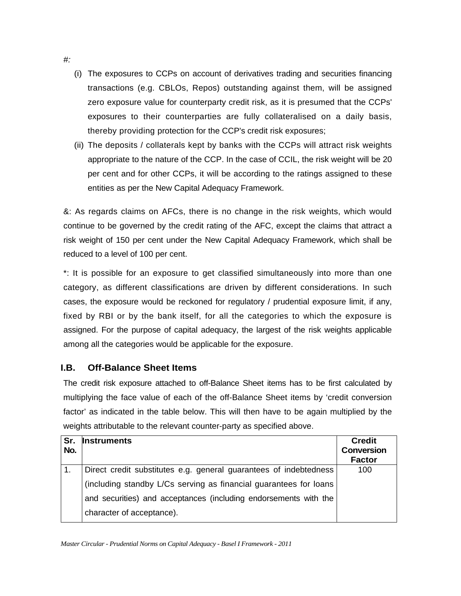- *#:*
- (i) The exposures to CCPs on account of derivatives trading and securities financing transactions (e.g. CBLOs, Repos) outstanding against them, will be assigned zero exposure value for counterparty credit risk, as it is presumed that the CCPs' exposures to their counterparties are fully collateralised on a daily basis, thereby providing protection for the CCP's credit risk exposures;
- (ii) The deposits / collaterals kept by banks with the CCPs will attract risk weights appropriate to the nature of the CCP. In the case of CCIL, the risk weight will be 20 per cent and for other CCPs, it will be according to the ratings assigned to these entities as per the New Capital Adequacy Framework.

&: As regards claims on AFCs, there is no change in the risk weights, which would continue to be governed by the credit rating of the AFC, except the claims that attract a risk weight of 150 per cent under the New Capital Adequacy Framework, which shall be reduced to a level of 100 per cent.

\*: It is possible for an exposure to get classified simultaneously into more than one category, as different classifications are driven by different considerations. In such cases, the exposure would be reckoned for regulatory / prudential exposure limit, if any, fixed by RBI or by the bank itself, for all the categories to which the exposure is assigned. For the purpose of capital adequacy, the largest of the risk weights applicable among all the categories would be applicable for the exposure.

## **I.B. Off-Balance Sheet Items**

The credit risk exposure attached to off-Balance Sheet items has to be first calculated by multiplying the face value of each of the off-Balance Sheet items by 'credit conversion factor' as indicated in the table below. This will then have to be again multiplied by the weights attributable to the relevant counter-party as specified above.

| Sr.<br>No. | <b>Instruments</b>                                                | <b>Credit</b><br><b>Conversion</b><br><b>Factor</b> |
|------------|-------------------------------------------------------------------|-----------------------------------------------------|
|            | Direct credit substitutes e.g. general guarantees of indebtedness | 100                                                 |
|            | (including standby L/Cs serving as financial guarantees for loans |                                                     |
|            | and securities) and acceptances (including endorsements with the  |                                                     |
|            | character of acceptance).                                         |                                                     |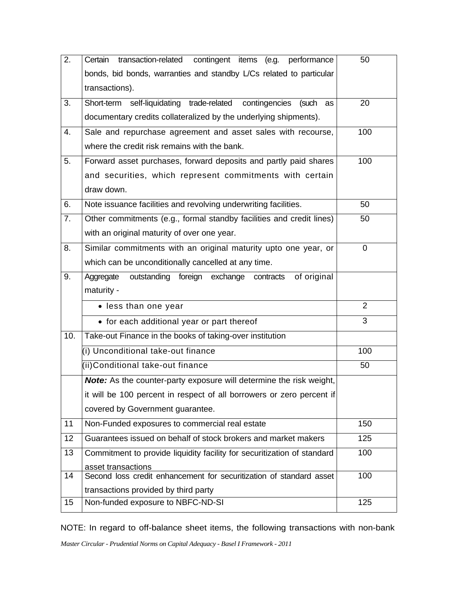| $\overline{2}$ . | transaction-related<br>contingent items (e.g.<br>Certain<br>performance                   | 50             |  |  |
|------------------|-------------------------------------------------------------------------------------------|----------------|--|--|
|                  | bonds, bid bonds, warranties and standby L/Cs related to particular                       |                |  |  |
|                  | transactions).                                                                            |                |  |  |
| 3.               | self-liquidating trade-related<br>Short-term<br>contingencies<br>(such<br><b>as</b>       | 20             |  |  |
|                  | documentary credits collateralized by the underlying shipments).                          |                |  |  |
| 4.               | Sale and repurchase agreement and asset sales with recourse,                              | 100            |  |  |
|                  | where the credit risk remains with the bank.                                              |                |  |  |
| 5.               | Forward asset purchases, forward deposits and partly paid shares                          | 100            |  |  |
|                  | and securities, which represent commitments with certain                                  |                |  |  |
|                  | draw down.                                                                                |                |  |  |
| 6.               | Note issuance facilities and revolving underwriting facilities.                           | 50             |  |  |
| 7.               | Other commitments (e.g., formal standby facilities and credit lines)                      | 50             |  |  |
|                  | with an original maturity of over one year.                                               |                |  |  |
| 8.               | Similar commitments with an original maturity upto one year, or                           | $\mathbf 0$    |  |  |
|                  | which can be unconditionally cancelled at any time.                                       |                |  |  |
| 9.               | of original<br>Aggregate<br>outstanding foreign exchange contracts                        |                |  |  |
|                  | maturity -                                                                                |                |  |  |
|                  | • less than one year                                                                      | $\overline{2}$ |  |  |
|                  | • for each additional year or part thereof                                                | 3              |  |  |
| 10.              | Take-out Finance in the books of taking-over institution                                  |                |  |  |
|                  | (i) Unconditional take-out finance                                                        | 100            |  |  |
|                  | (ii)Conditional take-out finance                                                          | 50             |  |  |
|                  | <b>Note:</b> As the counter-party exposure will determine the risk weight,                |                |  |  |
|                  | it will be 100 percent in respect of all borrowers or zero percent if                     |                |  |  |
|                  | covered by Government guarantee.                                                          |                |  |  |
| 11               | Non-Funded exposures to commercial real estate                                            | 150            |  |  |
| 12               | Guarantees issued on behalf of stock brokers and market makers                            | 125            |  |  |
| 13               | Commitment to provide liquidity facility for securitization of standard                   | 100            |  |  |
| 14               | asset transactions<br>Second loss credit enhancement for securitization of standard asset | 100            |  |  |
|                  |                                                                                           |                |  |  |
| 15               | transactions provided by third party                                                      |                |  |  |
|                  | Non-funded exposure to NBFC-ND-SI                                                         | 125            |  |  |

*Master Circular - Prudential Norms on Capital Adequacy - Basel I Framework - 2011* NOTE: In regard to off-balance sheet items, the following transactions with non-bank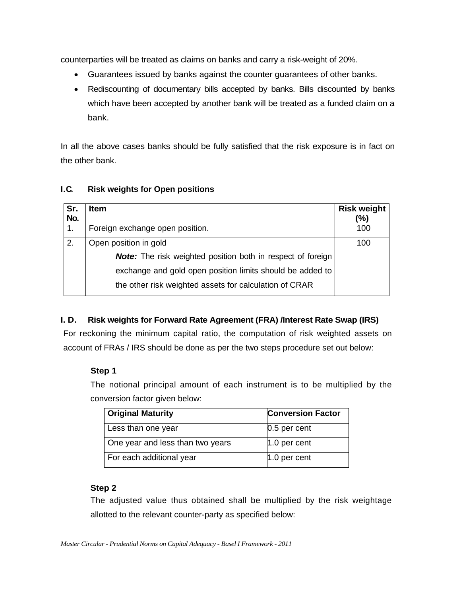counterparties will be treated as claims on banks and carry a risk-weight of 20%.

- Guarantees issued by banks against the counter guarantees of other banks.
- Rediscounting of documentary bills accepted by banks. Bills discounted by banks which have been accepted by another bank will be treated as a funded claim on a bank.

In all the above cases banks should be fully satisfied that the risk exposure is in fact on the other bank.

| I.C.<br><b>Risk weights for Open positions</b> |
|------------------------------------------------|
|------------------------------------------------|

| Sr.<br>No. | <b>Item</b>                                                 | <b>Risk weight</b><br>(%) |
|------------|-------------------------------------------------------------|---------------------------|
| 1.         | Foreign exchange open position.                             | 100                       |
| 2.         | Open position in gold                                       | 100                       |
|            | Note: The risk weighted position both in respect of foreign |                           |
|            | exchange and gold open position limits should be added to   |                           |
|            | the other risk weighted assets for calculation of CRAR      |                           |

## **I. D. Risk weights for Forward Rate Agreement (FRA) /Interest Rate Swap (IRS)**

For reckoning the minimum capital ratio, the computation of risk weighted assets on account of FRAs / IRS should be done as per the two steps procedure set out below:

## **Step 1**

The notional principal amount of each instrument is to be multiplied by the conversion factor given below:

| <b>Original Maturity</b>         | <b>Conversion Factor</b> |
|----------------------------------|--------------------------|
| Less than one year               | $0.5$ per cent           |
| One year and less than two years | $1.0$ per cent           |
| For each additional year         | $ 1.0$ per cent          |

## **Step 2**

The adjusted value thus obtained shall be multiplied by the risk weightage allotted to the relevant counter-party as specified below: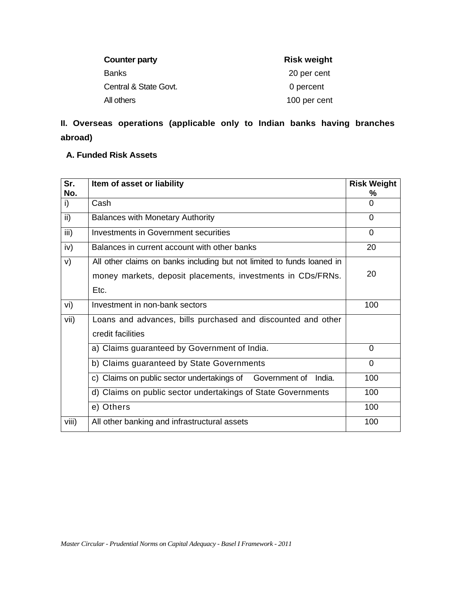| Counter party         | <b>Risk weight</b> |
|-----------------------|--------------------|
| Banks                 | 20 per cent        |
| Central & State Govt. | 0 percent          |
| All others            | 100 per cent       |

# **II. Overseas operations (applicable only to Indian banks having branches abroad)**

## **A. Funded Risk Assets**

| Sr.   | Item of asset or liability                                             | <b>Risk Weight</b> |
|-------|------------------------------------------------------------------------|--------------------|
| No.   |                                                                        | %                  |
| i)    | Cash                                                                   | 0                  |
| ii)   | <b>Balances with Monetary Authority</b>                                | 0                  |
| iii)  | Investments in Government securities                                   | 0                  |
| iv)   | Balances in current account with other banks                           | 20                 |
| V)    | All other claims on banks including but not limited to funds loaned in |                    |
|       | money markets, deposit placements, investments in CDs/FRNs.            | 20                 |
|       | Etc.                                                                   |                    |
| vi)   | Investment in non-bank sectors                                         | 100                |
| vii)  | Loans and advances, bills purchased and discounted and other           |                    |
|       | credit facilities                                                      |                    |
|       | a) Claims guaranteed by Government of India.                           | 0                  |
|       | b) Claims guaranteed by State Governments                              | $\Omega$           |
|       | Government of<br>c) Claims on public sector undertakings of<br>India.  | 100                |
|       | d) Claims on public sector undertakings of State Governments           | 100                |
|       | e) Others                                                              | 100                |
| viii) | All other banking and infrastructural assets                           | 100                |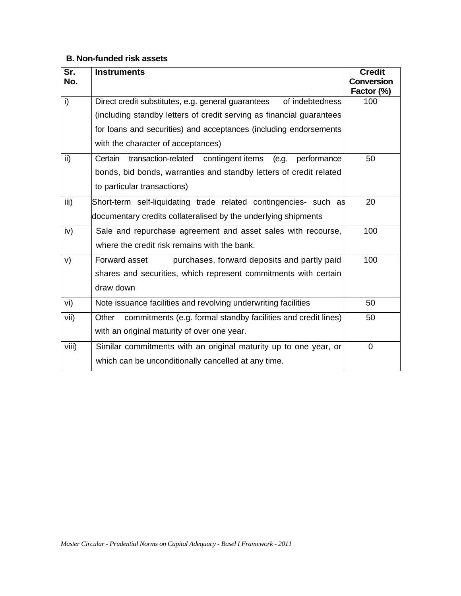## **B. Non-funded risk assets**

| Sr.<br>No.    | <b>Instruments</b>                                                         | <b>Credit</b><br><b>Conversion</b><br>Factor (%) |
|---------------|----------------------------------------------------------------------------|--------------------------------------------------|
| i)            | Direct credit substitutes, e.g. general guarantees<br>of indebtedness      | 100                                              |
|               | (including standby letters of credit serving as financial guarantees       |                                                  |
|               | for loans and securities) and acceptances (including endorsements          |                                                  |
|               | with the character of acceptances)                                         |                                                  |
| $\mathsf{ii}$ | Certain<br>transaction-related<br>contingent items<br>performance<br>(e.g. | 50                                               |
|               | bonds, bid bonds, warranties and standby letters of credit related         |                                                  |
|               | to particular transactions)                                                |                                                  |
| iii)          | Short-term self-liquidating trade related contingencies- such as           | 20                                               |
|               | documentary credits collateralised by the underlying shipments             |                                                  |
| iv)           | Sale and repurchase agreement and asset sales with recourse,               | 100                                              |
|               | where the credit risk remains with the bank.                               |                                                  |
| V)            | purchases, forward deposits and partly paid<br>Forward asset               | 100                                              |
|               | shares and securities, which represent commitments with certain            |                                                  |
|               | draw down                                                                  |                                                  |
| vi)           | Note issuance facilities and revolving underwriting facilities             | 50                                               |
| vii)          | commitments (e.g. formal standby facilities and credit lines)<br>Other     | 50                                               |
|               | with an original maturity of over one year.                                |                                                  |
| viii)         | Similar commitments with an original maturity up to one year, or           | 0                                                |
|               | which can be unconditionally cancelled at any time.                        |                                                  |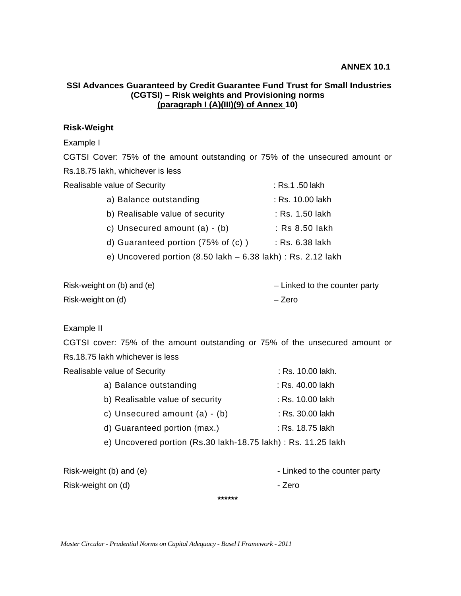#### **ANNEX 10.1**

#### **SSI Advances Guaranteed by Credit Guarantee Fund Trust for Small Industries (CGTSI) – Risk weights and Provisioning norms (paragraph I (A)(III)(9) of Annex 10)**

#### **Risk-Weight**

Example I

CGTSI Cover: 75% of the amount outstanding or 75% of the unsecured amount or Rs.18.75 lakh, whichever is less

| Realisable value of Security                   | : Rs.1 .50 lakh                                                                |
|------------------------------------------------|--------------------------------------------------------------------------------|
| a) Balance outstanding                         | : Rs. 10.00 lakh                                                               |
| b) Realisable value of security                | : Rs. 1.50 lakh                                                                |
| c) Unsecured amount $(a) - (b)$                | : Rs 8.50 lakh                                                                 |
| d) Guaranteed portion $(75\% \text{ of } (c))$ | : Rs. 6.38 lakh                                                                |
|                                                | e) Uncovered portion $(8.50 \text{ lakh} - 6.38 \text{ lakh})$ : Rs. 2.12 lakh |

| Risk-weight on (b) and (e) | - Linked to the counter party |
|----------------------------|-------------------------------|
| Risk-weight on (d)         | – Zero                        |

Example II

CGTSI cover: 75% of the amount outstanding or 75% of the unsecured amount or Rs.18.75 lakh whichever is less

| Realisable value of Security                                  | : Rs. 10.00 lakh.             |
|---------------------------------------------------------------|-------------------------------|
| a) Balance outstanding                                        | : Rs. 40.00 lakh              |
| b) Realisable value of security                               | : Rs. 10.00 lakh              |
| c) Unsecured amount $(a) - (b)$                               | : Rs. 30.00 lakh              |
| d) Guaranteed portion (max.)                                  | : Rs. 18.75 lakh              |
| e) Uncovered portion (Rs.30 lakh-18.75 lakh) : Rs. 11.25 lakh |                               |
| Risk-weight (b) and (e)                                       | - Linked to the counter party |
| Risk-weight on (d)                                            | - Zero                        |

**\*\*\*\*\*\*** 

*Master Circular - Prudential Norms on Capital Adequacy - Basel I Framework - 2011*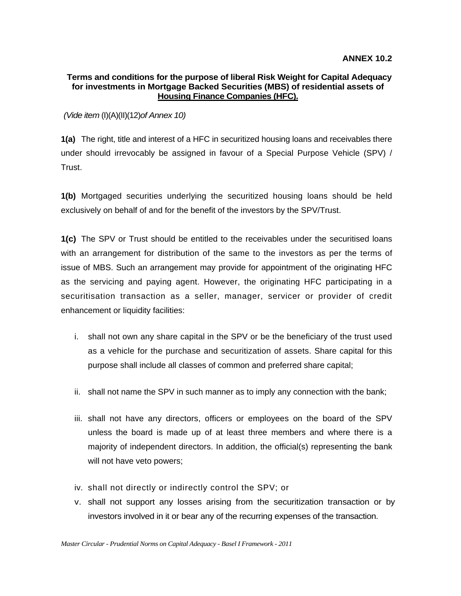#### **Terms and conditions for the purpose of liberal Risk Weight for Capital Adequacy for investments in Mortgage Backed Securities (MBS) of residential assets of Housing Finance Companies (HFC).**

*(Vide item* (I)(A)(II)(12)*of Annex 10)* 

**1(a)** The right, title and interest of a HFC in securitized housing loans and receivables there under should irrevocably be assigned in favour of a Special Purpose Vehicle (SPV) / Trust.

**1(b)** Mortgaged securities underlying the securitized housing loans should be held exclusively on behalf of and for the benefit of the investors by the SPV/Trust.

**1(c)** The SPV or Trust should be entitled to the receivables under the securitised loans with an arrangement for distribution of the same to the investors as per the terms of issue of MBS. Such an arrangement may provide for appointment of the originating HFC as the servicing and paying agent. However, the originating HFC participating in a securitisation transaction as a seller, manager, servicer or provider of credit enhancement or liquidity facilities:

- i. shall not own any share capital in the SPV or be the beneficiary of the trust used as a vehicle for the purchase and securitization of assets. Share capital for this purpose shall include all classes of common and preferred share capital;
- ii. shall not name the SPV in such manner as to imply any connection with the bank;
- iii. shall not have any directors, officers or employees on the board of the SPV unless the board is made up of at least three members and where there is a majority of independent directors. In addition, the official(s) representing the bank will not have veto powers;
- iv. shall not directly or indirectly control the SPV; or
- v. shall not support any losses arising from the securitization transaction or by investors involved in it or bear any of the recurring expenses of the transaction.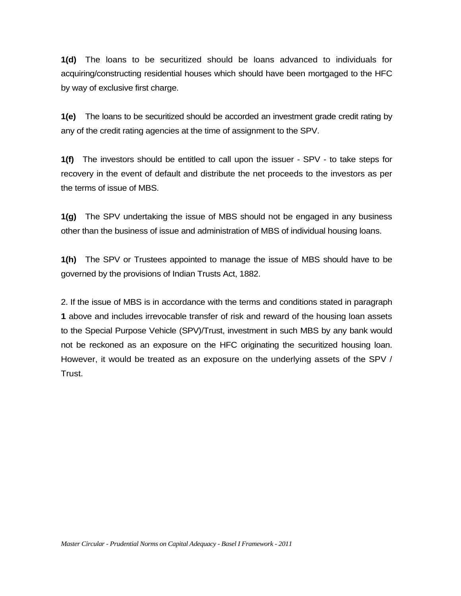**1(d)** The loans to be securitized should be loans advanced to individuals for acquiring/constructing residential houses which should have been mortgaged to the HFC by way of exclusive first charge.

**1(e)** The loans to be securitized should be accorded an investment grade credit rating by any of the credit rating agencies at the time of assignment to the SPV.

**1(f)** The investors should be entitled to call upon the issuer - SPV - to take steps for recovery in the event of default and distribute the net proceeds to the investors as per the terms of issue of MBS.

**1(g)** The SPV undertaking the issue of MBS should not be engaged in any business other than the business of issue and administration of MBS of individual housing loans.

**1(h)** The SPV or Trustees appointed to manage the issue of MBS should have to be governed by the provisions of Indian Trusts Act, 1882.

2. If the issue of MBS is in accordance with the terms and conditions stated in paragraph **1** above and includes irrevocable transfer of risk and reward of the housing loan assets to the Special Purpose Vehicle (SPV)/Trust, investment in such MBS by any bank would not be reckoned as an exposure on the HFC originating the securitized housing loan. However, it would be treated as an exposure on the underlying assets of the SPV / Trust.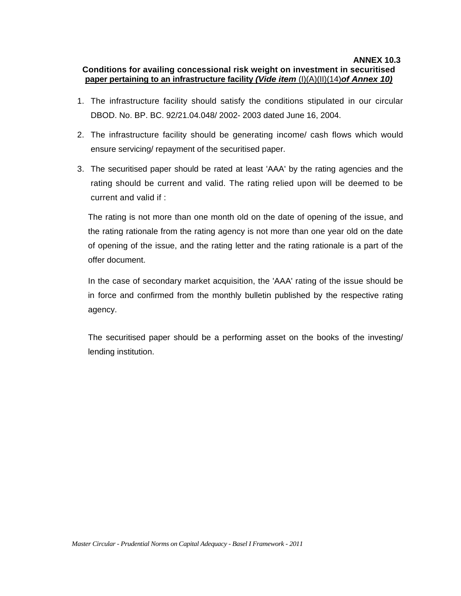#### **ANNEX 10.3 Conditions for availing concessional risk weight on investment in securitised paper pertaining to an infrastructure facility** *(Vide item* (I)(A)(II)(14)*of Annex 10)*

- 1. The infrastructure facility should satisfy the conditions stipulated in our circular DBOD. No. BP. BC. 92/21.04.048/ 2002- 2003 dated June 16, 2004.
- 2. The infrastructure facility should be generating income/ cash flows which would ensure servicing/ repayment of the securitised paper.
- 3. The securitised paper should be rated at least 'AAA' by the rating agencies and the rating should be current and valid. The rating relied upon will be deemed to be current and valid if :

The rating is not more than one month old on the date of opening of the issue, and the rating rationale from the rating agency is not more than one year old on the date of opening of the issue, and the rating letter and the rating rationale is a part of the offer document.

In the case of secondary market acquisition, the 'AAA' rating of the issue should be in force and confirmed from the monthly bulletin published by the respective rating agency.

The securitised paper should be a performing asset on the books of the investing/ lending institution.